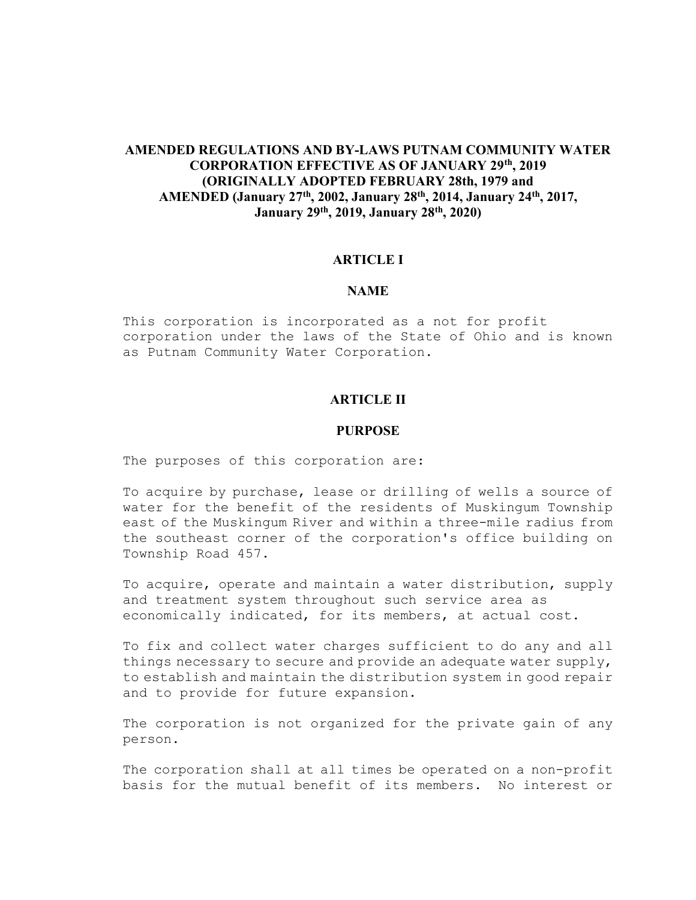# AMENDED REGULATIONS AND BY-LAWS PUTNAM COMMUNITY WATER CORPORATION EFFECTIVE AS OF JANUARY 29th, 2019 (ORIGINALLY ADOPTED FEBRUARY 28th, 1979 and AMENDED (January 27th, 2002, January 28th, 2014, January 24th, 2017, January 29th, 2019, January 28th, 2020)

### ARTICLE I

### NAME

This corporation is incorporated as a not for profit corporation under the laws of the State of Ohio and is known as Putnam Community Water Corporation.

### ARTICLE II

### PURPOSE

The purposes of this corporation are:

To acquire by purchase, lease or drilling of wells a source of water for the benefit of the residents of Muskingum Township east of the Muskingum River and within a three-mile radius from the southeast corner of the corporation's office building on Township Road 457.

To acquire, operate and maintain a water distribution, supply and treatment system throughout such service area as economically indicated, for its members, at actual cost.

To fix and collect water charges sufficient to do any and all things necessary to secure and provide an adequate water supply, to establish and maintain the distribution system in good repair and to provide for future expansion.

The corporation is not organized for the private gain of any person.

The corporation shall at all times be operated on a non-profit basis for the mutual benefit of its members. No interest or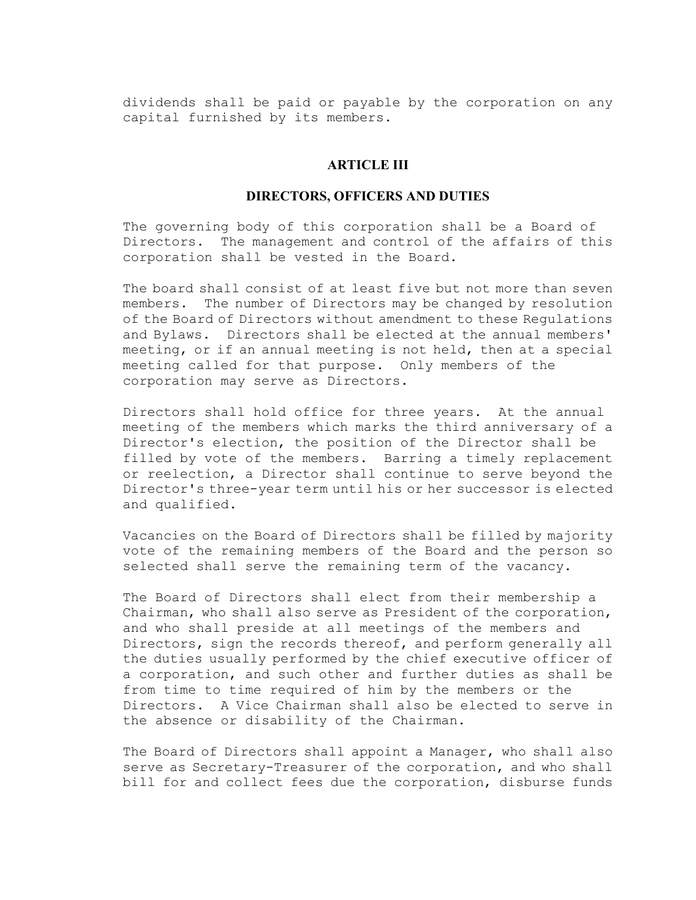dividends shall be paid or payable by the corporation on any capital furnished by its members.

### ARTICLE III

### DIRECTORS, OFFICERS AND DUTIES

The governing body of this corporation shall be a Board of Directors. The management and control of the affairs of this corporation shall be vested in the Board.

The board shall consist of at least five but not more than seven members. The number of Directors may be changed by resolution of the Board of Directors without amendment to these Regulations and Bylaws. Directors shall be elected at the annual members' meeting, or if an annual meeting is not held, then at a special meeting called for that purpose. Only members of the corporation may serve as Directors.

Directors shall hold office for three years. At the annual meeting of the members which marks the third anniversary of a Director's election, the position of the Director shall be filled by vote of the members. Barring a timely replacement or reelection, a Director shall continue to serve beyond the Director's three-year term until his or her successor is elected and qualified.

Vacancies on the Board of Directors shall be filled by majority vote of the remaining members of the Board and the person so selected shall serve the remaining term of the vacancy.

The Board of Directors shall elect from their membership a Chairman, who shall also serve as President of the corporation, and who shall preside at all meetings of the members and Directors, sign the records thereof, and perform generally all the duties usually performed by the chief executive officer of a corporation, and such other and further duties as shall be from time to time required of him by the members or the Directors. A Vice Chairman shall also be elected to serve in the absence or disability of the Chairman.

The Board of Directors shall appoint a Manager, who shall also serve as Secretary-Treasurer of the corporation, and who shall bill for and collect fees due the corporation, disburse funds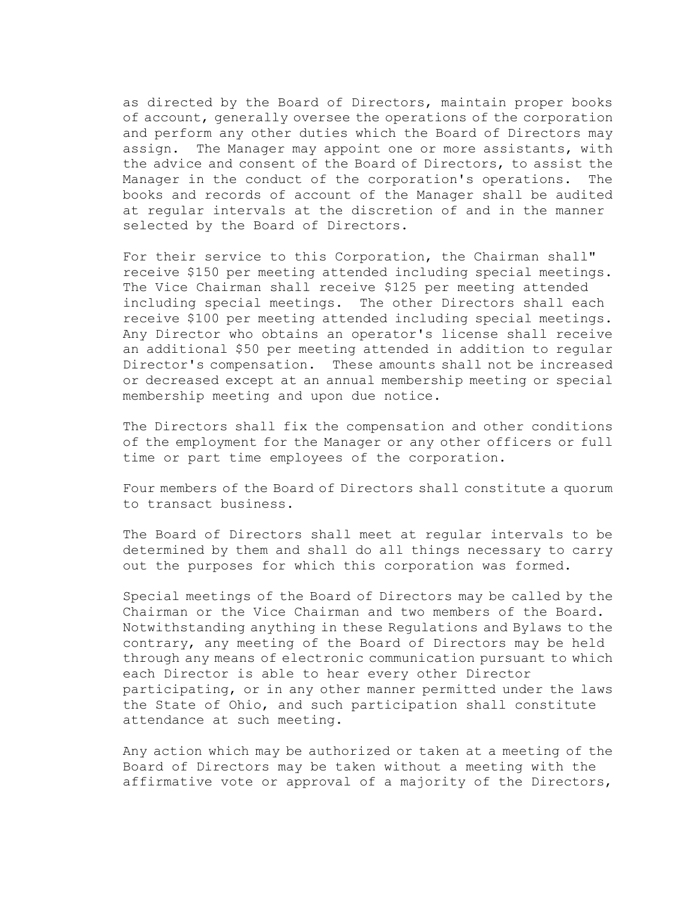as directed by the Board of Directors, maintain proper books of account, generally oversee the operations of the corporation and perform any other duties which the Board of Directors may assign. The Manager may appoint one or more assistants, with the advice and consent of the Board of Directors, to assist the Manager in the conduct of the corporation's operations. The books and records of account of the Manager shall be audited at regular intervals at the discretion of and in the manner selected by the Board of Directors.

For their service to this Corporation, the Chairman shall" receive \$150 per meeting attended including special meetings. The Vice Chairman shall receive \$125 per meeting attended including special meetings. The other Directors shall each receive \$100 per meeting attended including special meetings. Any Director who obtains an operator's license shall receive an additional \$50 per meeting attended in addition to regular Director's compensation. These amounts shall not be increased or decreased except at an annual membership meeting or special membership meeting and upon due notice.

The Directors shall fix the compensation and other conditions of the employment for the Manager or any other officers or full time or part time employees of the corporation.

Four members of the Board of Directors shall constitute a quorum to transact business.

The Board of Directors shall meet at regular intervals to be determined by them and shall do all things necessary to carry out the purposes for which this corporation was formed.

Special meetings of the Board of Directors may be called by the Chairman or the Vice Chairman and two members of the Board. Notwithstanding anything in these Regulations and Bylaws to the contrary, any meeting of the Board of Directors may be held through any means of electronic communication pursuant to which each Director is able to hear every other Director participating, or in any other manner permitted under the laws the State of Ohio, and such participation shall constitute attendance at such meeting.

Any action which may be authorized or taken at a meeting of the Board of Directors may be taken without a meeting with the affirmative vote or approval of a majority of the Directors,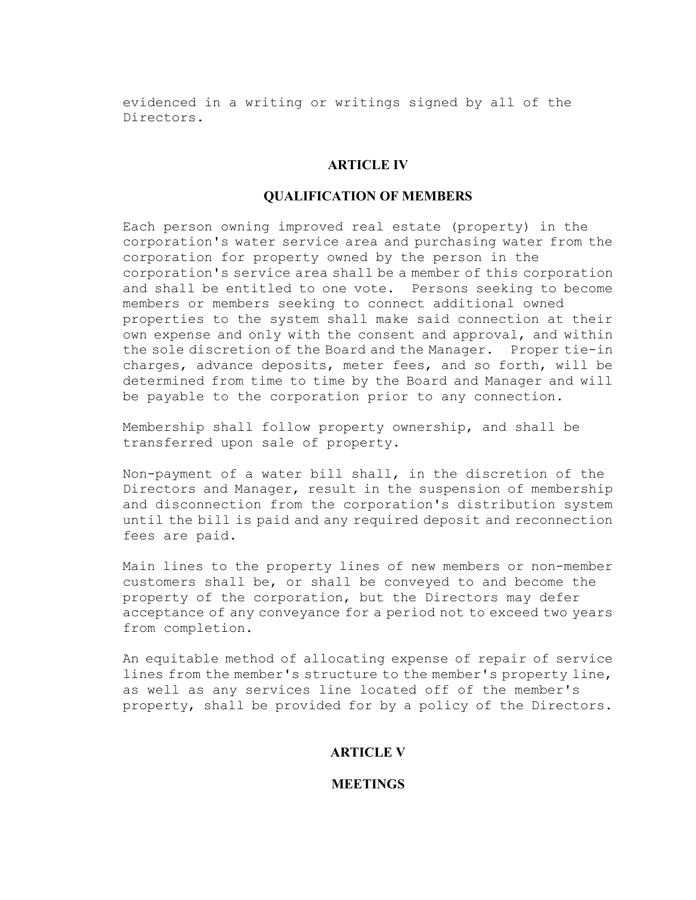evidenced in a writing or writings signed by all of the Directors.

### ARTICLE IV

### QUALIFICATION OF MEMBERS

Each person owning improved real estate (property) in the corporation's water service area and purchasing water from the corporation for property owned by the person in the corporation's service area shall be a member of this corporation and shall be entitled to one vote. Persons seeking to become members or members seeking to connect additional owned properties to the system shall make said connection at their own expense and only with the consent and approval, and within the sole discretion of the Board and the Manager. Proper tie-in charges, advance deposits, meter fees, and so forth, will be determined from time to time by the Board and Manager and will be payable to the corporation prior to any connection.

Membership shall follow property ownership, and shall be transferred upon sale of property.

Non-payment of a water bill shall, in the discretion of the Directors and Manager, result in the suspension of membership and disconnection from the corporation's distribution system until the bill is paid and any required deposit and reconnection fees are paid.

Main lines to the property lines of new members or non-member customers shall be, or shall be conveyed to and become the property of the corporation, but the Directors may defer acceptance of any conveyance for a period not to exceed two years from completion.

An equitable method of allocating expense of repair of service lines from the member's structure to the member's property line, as well as any services line located off of the member's property, shall be provided for by a policy of the Directors.

### ARTICLE V

### **MEETINGS**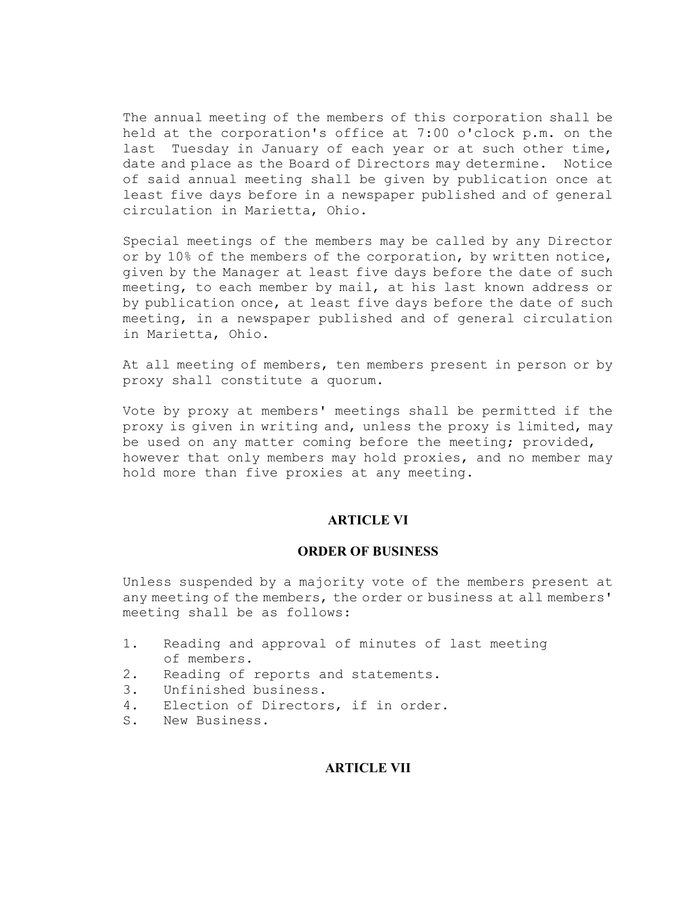The annual meeting of the members of this corporation shall be held at the corporation's office at 7:00 o'clock p.m. on the last Tuesday in January of each year or at such other time, date and place as the Board of Directors may determine. Notice of said annual meeting shall be given by publication once at least five days before in a newspaper published and of general circulation in Marietta, Ohio.

Special meetings of the members may be called by any Director or by 10% of the members of the corporation, by written notice, given by the Manager at least five days before the date of such meeting, to each member by mail, at his last known address or by publication once, at least five days before the date of such meeting, in a newspaper published and of general circulation in Marietta, Ohio.

At all meeting of members, ten members present in person or by proxy shall constitute a quorum.

Vote by proxy at members' meetings shall be permitted if the proxy is given in writing and, unless the proxy is limited, may be used on any matter coming before the meeting; provided, however that only members may hold proxies, and no member may hold more than five proxies at any meeting.

### ARTICLE VI

### ORDER OF BUSINESS

Unless suspended by a majority vote of the members present at any meeting of the members, the order or business at all members' meeting shall be as follows:

- 1. Reading and approval of minutes of last meeting of members.
- 2. Reading of reports and statements.
- 3. Unfinished business.
- 4. Election of Directors, if in order.
- S. New Business.

### ARTICLE VII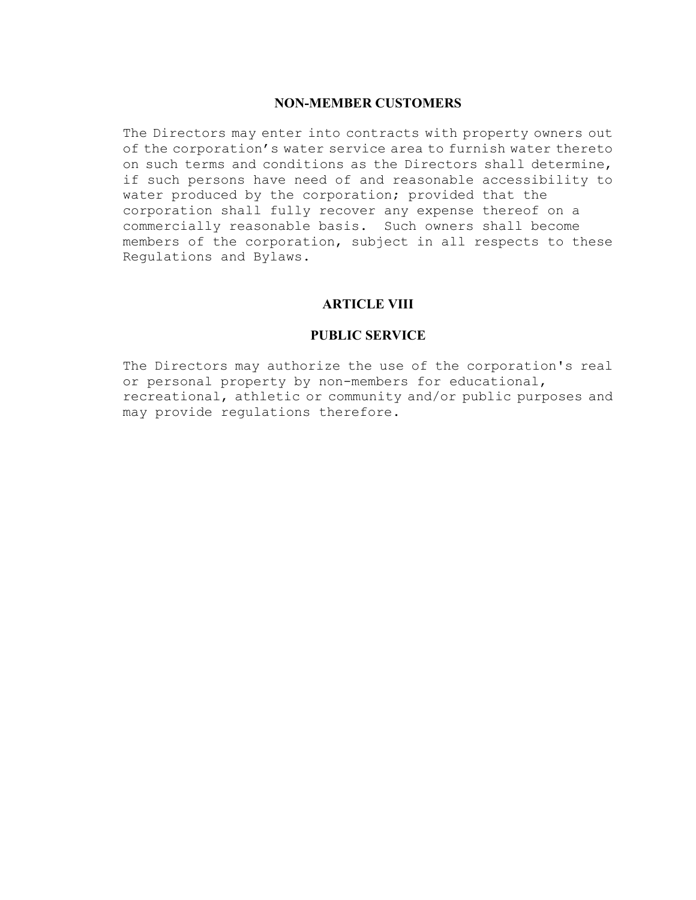# NON-MEMBER CUSTOMERS

The Directors may enter into contracts with property owners out of the corporation's water service area to furnish water thereto on such terms and conditions as the Directors shall determine, if such persons have need of and reasonable accessibility to water produced by the corporation; provided that the corporation shall fully recover any expense thereof on a commercially reasonable basis. Such owners shall become members of the corporation, subject in all respects to these Regulations and Bylaws.

# ARTICLE VIII

## PUBLIC SERVICE

The Directors may authorize the use of the corporation's real or personal property by non-members for educational, recreational, athletic or community and/or public purposes and may provide regulations therefore.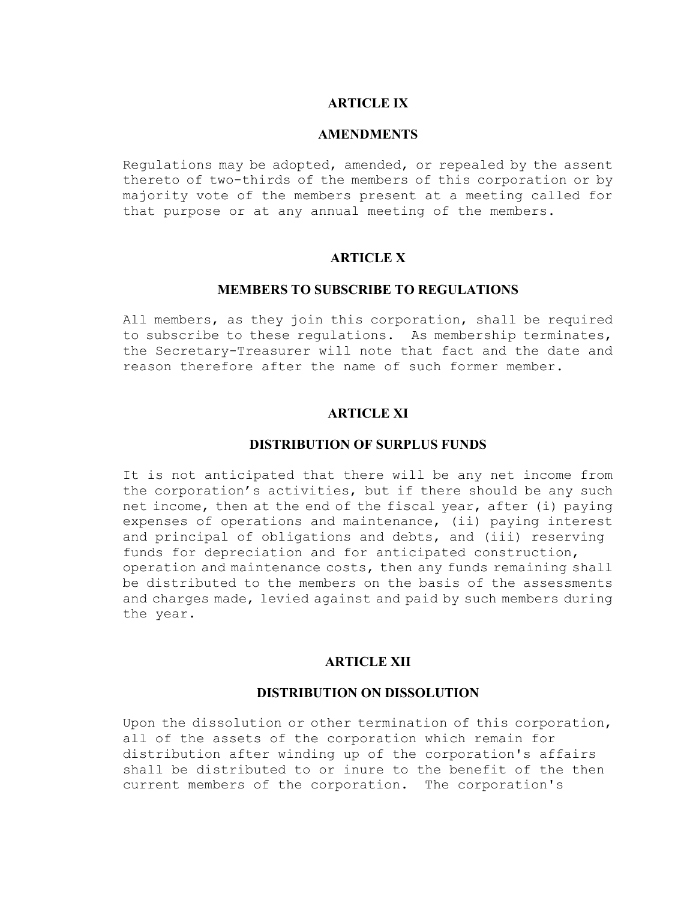# ARTICLE IX

### AMENDMENTS

Regulations may be adopted, amended, or repealed by the assent thereto of two-thirds of the members of this corporation or by majority vote of the members present at a meeting called for that purpose or at any annual meeting of the members.

# ARTICLE X

## MEMBERS TO SUBSCRIBE TO REGULATIONS

All members, as they join this corporation, shall be required to subscribe to these regulations. As membership terminates, the Secretary-Treasurer will note that fact and the date and reason therefore after the name of such former member.

# ARTICLE XI

### DISTRIBUTION OF SURPLUS FUNDS

It is not anticipated that there will be any net income from the corporation's activities, but if there should be any such net income, then at the end of the fiscal year, after (i) paying expenses of operations and maintenance, (ii) paying interest and principal of obligations and debts, and (iii) reserving funds for depreciation and for anticipated construction, operation and maintenance costs, then any funds remaining shall be distributed to the members on the basis of the assessments and charges made, levied against and paid by such members during the year.

### ARTICLE XII

### DISTRIBUTION ON DISSOLUTION

Upon the dissolution or other termination of this corporation, all of the assets of the corporation which remain for distribution after winding up of the corporation's affairs shall be distributed to or inure to the benefit of the then current members of the corporation. The corporation's